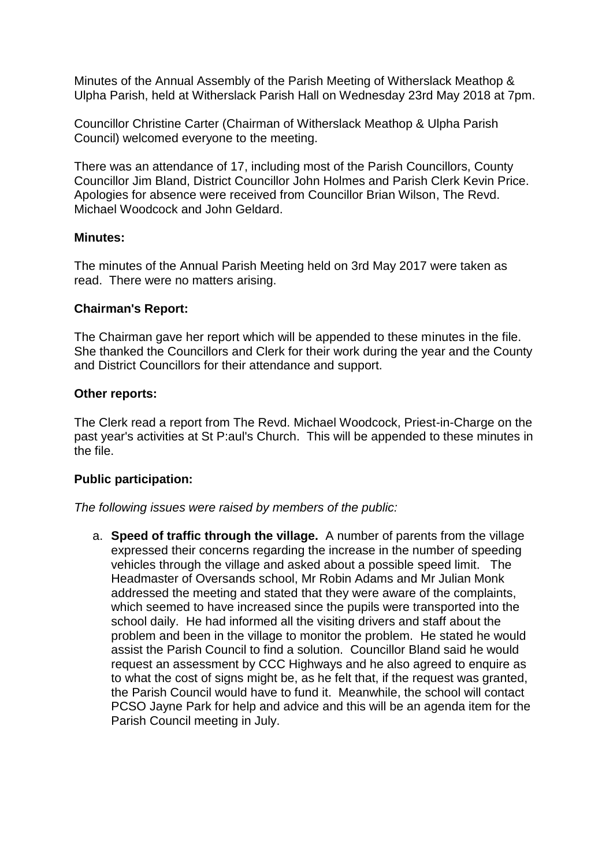Minutes of the Annual Assembly of the Parish Meeting of Witherslack Meathop & Ulpha Parish, held at Witherslack Parish Hall on Wednesday 23rd May 2018 at 7pm.

Councillor Christine Carter (Chairman of Witherslack Meathop & Ulpha Parish Council) welcomed everyone to the meeting.

There was an attendance of 17, including most of the Parish Councillors, County Councillor Jim Bland, District Councillor John Holmes and Parish Clerk Kevin Price. Apologies for absence were received from Councillor Brian Wilson, The Revd. Michael Woodcock and John Geldard.

## **Minutes:**

The minutes of the Annual Parish Meeting held on 3rd May 2017 were taken as read. There were no matters arising.

## **Chairman's Report:**

The Chairman gave her report which will be appended to these minutes in the file. She thanked the Councillors and Clerk for their work during the year and the County and District Councillors for their attendance and support.

## **Other reports:**

The Clerk read a report from The Revd. Michael Woodcock, Priest-in-Charge on the past year's activities at St P:aul's Church. This will be appended to these minutes in the file.

## **Public participation:**

*The following issues were raised by members of the public:*

a. **Speed of traffic through the village.** A number of parents from the village expressed their concerns regarding the increase in the number of speeding vehicles through the village and asked about a possible speed limit. The Headmaster of Oversands school, Mr Robin Adams and Mr Julian Monk addressed the meeting and stated that they were aware of the complaints, which seemed to have increased since the pupils were transported into the school daily. He had informed all the visiting drivers and staff about the problem and been in the village to monitor the problem. He stated he would assist the Parish Council to find a solution. Councillor Bland said he would request an assessment by CCC Highways and he also agreed to enquire as to what the cost of signs might be, as he felt that, if the request was granted, the Parish Council would have to fund it. Meanwhile, the school will contact PCSO Jayne Park for help and advice and this will be an agenda item for the Parish Council meeting in July.